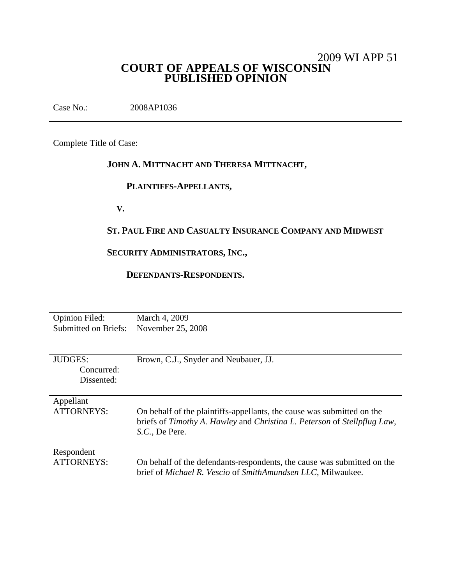## 2009 WI APP 51 **COURT OF APPEALS OF WISCONSIN PUBLISHED OPINION**

Case No.: 2008AP1036

Complete Title of Case:

# **JOHN A. MITTNACHT AND THERESA MITTNACHT,**

## **PLAINTIFFS-APPELLANTS,**

**V.**

## **ST. PAUL FIRE AND CASUALTY INSURANCE COMPANY AND MIDWEST**

## **SECURITY ADMINISTRATORS, INC.,**

## **DEFENDANTS-RESPONDENTS.**

| <b>Opinion Filed:</b>       | March 4, 2009                                                            |
|-----------------------------|--------------------------------------------------------------------------|
| <b>Submitted on Briefs:</b> | November 25, 2008                                                        |
|                             |                                                                          |
|                             |                                                                          |
| <b>JUDGES:</b>              | Brown, C.J., Snyder and Neubauer, JJ.                                    |
| Concurred:                  |                                                                          |
| Dissented:                  |                                                                          |
|                             |                                                                          |
| Appellant                   |                                                                          |
| ATTORNEYS:                  | On behalf of the plaintiffs-appellants, the cause was submitted on the   |
|                             | briefs of Timothy A. Hawley and Christina L. Peterson of Stellpflug Law, |
|                             | S.C., De Pere.                                                           |
|                             |                                                                          |
| Respondent                  |                                                                          |
| ATTORNEYS:                  | On behalf of the defendants-respondents, the cause was submitted on the  |
|                             | brief of Michael R. Vescio of SmithAmundsen LLC, Milwaukee.              |
|                             |                                                                          |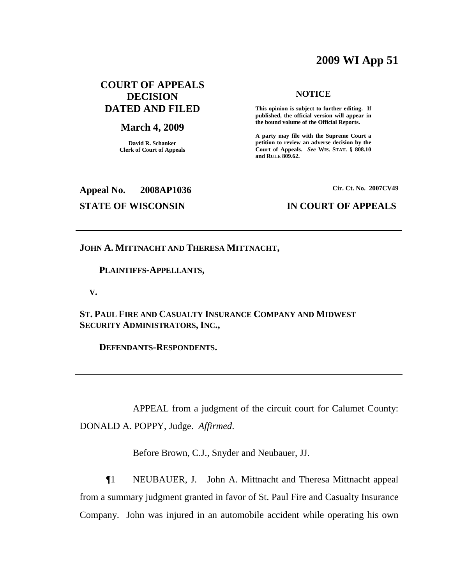# **2009 WI App 51**

## **COURT OF APPEALS DECISION DATED AND FILED**

#### **March 4, 2009**

**David R. Schanker Clerk of Court of Appeals**

#### **NOTICE**

**This opinion is subject to further editing. If published, the official version will appear in the bound volume of the Official Reports.**

**A party may file with the Supreme Court a petition to review an adverse decision by the Court of Appeals.** *See* **WIS. STAT. § 808.10 and RULE 809.62.**

## **Appeal No. 2008AP1036**

#### **Cir. Ct. No. 2007CV49**

### **STATE OF WISCONSIN IN COURT OF APPEALS**

## **JOHN A. MITTNACHT AND THERESA MITTNACHT,**

#### **PLAINTIFFS-APPELLANTS,**

**V.**

**ST. PAUL FIRE AND CASUALTY INSURANCE COMPANY AND MIDWEST SECURITY ADMINISTRATORS, INC.,**

**DEFENDANTS-RESPONDENTS.**

APPEAL from a judgment of the circuit court for Calumet County: DONALD A. POPPY, Judge. *Affirmed*.

Before Brown, C.J., Snyder and Neubauer, JJ.

¶1 NEUBAUER, J. John A. Mittnacht and Theresa Mittnacht appeal from a summary judgment granted in favor of St. Paul Fire and Casualty Insurance Company. John was injured in an automobile accident while operating his own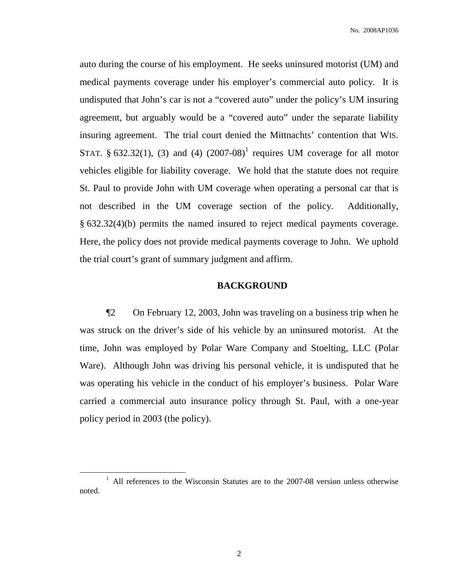auto during the course of his employment. He seeks uninsured motorist (UM) and medical payments coverage under his employer's commercial auto policy. It is undisputed that John's car is not a "covered auto" under the policy's UM insuring agreement, but arguably would be a "covered auto" under the separate liability insuring agreement. The trial court denied the Mittnachts' contention that WIS. STAT. § 632.32(1), (3) and (4)  $(2007-08)^1$  requires UM coverage for all motor vehicles eligible for liability coverage. We hold that the statute does not require St. Paul to provide John with UM coverage when operating a personal car that is not described in the UM coverage section of the policy. Additionally, § 632.32(4)(b) permits the named insured to reject medical payments coverage. Here, the policy does not provide medical payments coverage to John. We uphold the trial court's grant of summary judgment and affirm.

## **BACKGROUND**

¶2 On February 12, 2003, John was traveling on a business trip when he was struck on the driver's side of his vehicle by an uninsured motorist. At the time, John was employed by Polar Ware Company and Stoelting, LLC (Polar Ware). Although John was driving his personal vehicle, it is undisputed that he was operating his vehicle in the conduct of his employer's business. Polar Ware carried a commercial auto insurance policy through St. Paul, with a one-year policy period in 2003 (the policy).

 $1$  All references to the Wisconsin Statutes are to the 2007-08 version unless otherwise noted.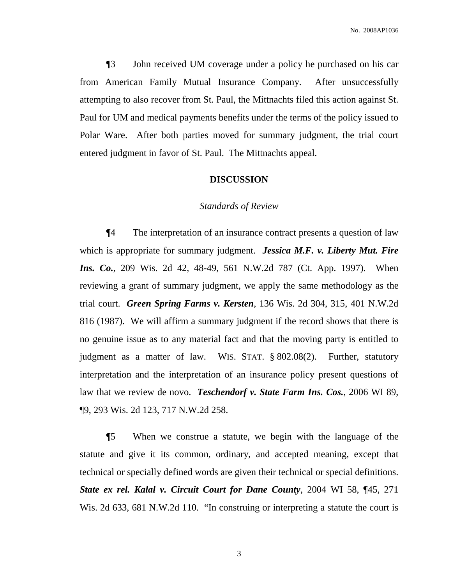¶3 John received UM coverage under a policy he purchased on his car from American Family Mutual Insurance Company. After unsuccessfully attempting to also recover from St. Paul, the Mittnachts filed this action against St. Paul for UM and medical payments benefits under the terms of the policy issued to Polar Ware. After both parties moved for summary judgment, the trial court entered judgment in favor of St. Paul. The Mittnachts appeal.

#### **DISCUSSION**

#### *Standards of Review*

¶4 The interpretation of an insurance contract presents a question of law which is appropriate for summary judgment. *Jessica M.F. v. Liberty Mut. Fire Ins. Co.*, 209 Wis. 2d 42, 48-49, 561 N.W.2d 787 (Ct. App. 1997). When reviewing a grant of summary judgment, we apply the same methodology as the trial court. *Green Spring Farms v. Kersten*, 136 Wis. 2d 304, 315, 401 N.W.2d 816 (1987). We will affirm a summary judgment if the record shows that there is no genuine issue as to any material fact and that the moving party is entitled to judgment as a matter of law. WIS. STAT. § 802.08(2). Further, statutory interpretation and the interpretation of an insurance policy present questions of law that we review de novo. *Teschendorf v. State Farm Ins. Cos.*, 2006 WI 89, ¶9, 293 Wis. 2d 123, 717 N.W.2d 258.

¶5 When we construe a statute, we begin with the language of the statute and give it its common, ordinary, and accepted meaning, except that technical or specially defined words are given their technical or special definitions. *State ex rel. Kalal v. Circuit Court for Dane County*, 2004 WI 58, ¶45, 271 Wis. 2d 633, 681 N.W.2d 110. "In construing or interpreting a statute the court is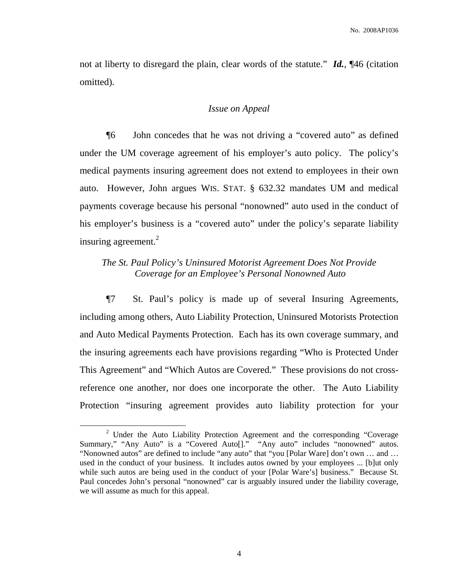not at liberty to disregard the plain, clear words of the statute." *Id.*, ¶46 (citation omitted).

#### *Issue on Appeal*

¶6 John concedes that he was not driving a "covered auto" as defined under the UM coverage agreement of his employer's auto policy. The policy's medical payments insuring agreement does not extend to employees in their own auto. However, John argues WIS. STAT. § 632.32 mandates UM and medical payments coverage because his personal "nonowned" auto used in the conduct of his employer's business is a "covered auto" under the policy's separate liability insuring agreement.<sup>2</sup>

## *The St. Paul Policy's Uninsured Motorist Agreement Does Not Provide Coverage for an Employee's Personal Nonowned Auto*

¶7 St. Paul's policy is made up of several Insuring Agreements, including among others, Auto Liability Protection, Uninsured Motorists Protection and Auto Medical Payments Protection. Each has its own coverage summary, and the insuring agreements each have provisions regarding "Who is Protected Under This Agreement" and "Which Autos are Covered." These provisions do not crossreference one another, nor does one incorporate the other. The Auto Liability Protection "insuring agreement provides auto liability protection for your

<sup>&</sup>lt;sup>2</sup> Under the Auto Liability Protection Agreement and the corresponding "Coverage" Summary," "Any Auto" is a "Covered Auto[]." "Any auto" includes "nonowned" autos. "Nonowned autos" are defined to include "any auto" that "you [Polar Ware] don't own … and … used in the conduct of your business. It includes autos owned by your employees ... [b]ut only while such autos are being used in the conduct of your [Polar Ware's] business." Because St. Paul concedes John's personal "nonowned" car is arguably insured under the liability coverage, we will assume as much for this appeal.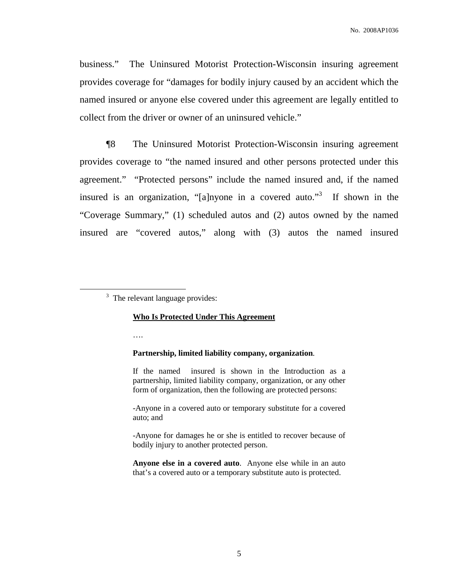business." The Uninsured Motorist Protection-Wisconsin insuring agreement provides coverage for "damages for bodily injury caused by an accident which the named insured or anyone else covered under this agreement are legally entitled to collect from the driver or owner of an uninsured vehicle."

¶8 The Uninsured Motorist Protection-Wisconsin insuring agreement provides coverage to "the named insured and other persons protected under this agreement." "Protected persons" include the named insured and, if the named insured is an organization, "[a]nyone in a covered auto."<sup>3</sup> If shown in the "Coverage Summary," (1) scheduled autos and (2) autos owned by the named insured are "covered autos," along with (3) autos the named insured

 $3$  The relevant language provides:

#### **Who Is Protected Under This Agreement**

….

#### **Partnership, limited liability company, organization**.

If the named insured is shown in the Introduction as a partnership, limited liability company, organization, or any other form of organization, then the following are protected persons:

-Anyone in a covered auto or temporary substitute for a covered auto; and

-Anyone for damages he or she is entitled to recover because of bodily injury to another protected person.

**Anyone else in a covered auto**. Anyone else while in an auto that's a covered auto or a temporary substitute auto is protected.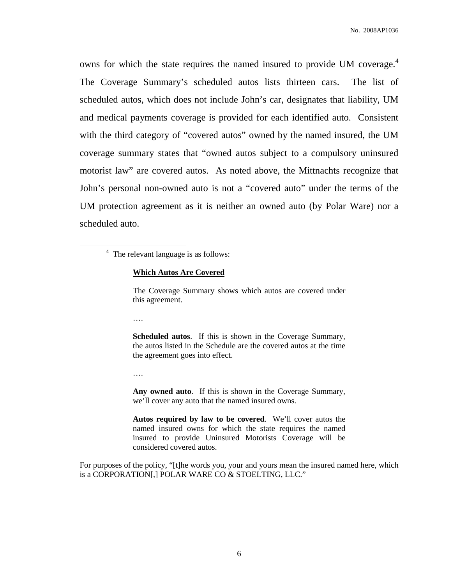owns for which the state requires the named insured to provide UM coverage. 4 The Coverage Summary's scheduled autos lists thirteen cars. The list of scheduled autos, which does not include John's car, designates that liability, UM and medical payments coverage is provided for each identified auto. Consistent with the third category of "covered autos" owned by the named insured, the UM coverage summary states that "owned autos subject to a compulsory uninsured motorist law" are covered autos. As noted above, the Mittnachts recognize that John's personal non-owned auto is not a "covered auto" under the terms of the UM protection agreement as it is neither an owned auto (by Polar Ware) nor a scheduled auto.

#### **Which Autos Are Covered**

The Coverage Summary shows which autos are covered under this agreement.

….

**Scheduled autos**. If this is shown in the Coverage Summary, the autos listed in the Schedule are the covered autos at the time the agreement goes into effect.

….

**Any owned auto**. If this is shown in the Coverage Summary, we'll cover any auto that the named insured owns.

**Autos required by law to be covered**. We'll cover autos the named insured owns for which the state requires the named insured to provide Uninsured Motorists Coverage will be considered covered autos.

For purposes of the policy, "[t]he words you, your and yours mean the insured named here, which is a CORPORATION[,] POLAR WARE CO & STOELTING, LLC."

<sup>4</sup> The relevant language is as follows: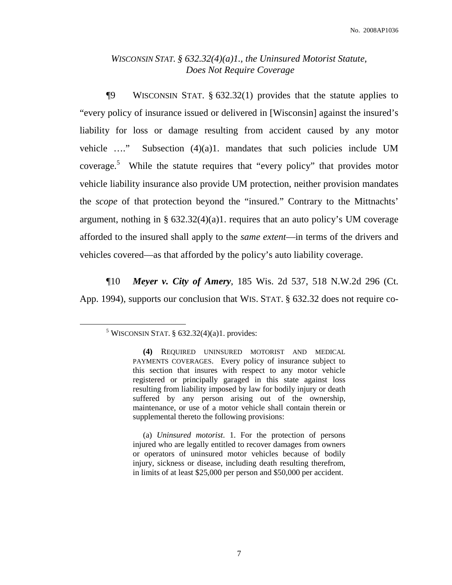## *WISCONSIN STAT. § 632.32(4)(a)1., the Uninsured Motorist Statute, Does Not Require Coverage*

¶9 WISCONSIN STAT. § 632.32(1) provides that the statute applies to "every policy of insurance issued or delivered in [Wisconsin] against the insured's liability for loss or damage resulting from accident caused by any motor vehicle …." Subsection (4)(a)1. mandates that such policies include UM coverage. <sup>5</sup> While the statute requires that "every policy" that provides motor vehicle liability insurance also provide UM protection, neither provision mandates the *scope* of that protection beyond the "insured." Contrary to the Mittnachts' argument, nothing in §  $632.32(4)(a)1$ . requires that an auto policy's UM coverage afforded to the insured shall apply to the *same extent*—in terms of the drivers and vehicles covered—as that afforded by the policy's auto liability coverage.

¶10 *Meyer v. City of Amery*, 185 Wis. 2d 537, 518 N.W.2d 296 (Ct. App. 1994), supports our conclusion that WIS. STAT. § 632.32 does not require co-

<sup>&</sup>lt;sup>5</sup> WISCONSIN STAT. §  $632.32(4)(a)1$ . provides:

**<sup>(4)</sup>** REQUIRED UNINSURED MOTORIST AND MEDICAL PAYMENTS COVERAGES. Every policy of insurance subject to this section that insures with respect to any motor vehicle registered or principally garaged in this state against loss resulting from liability imposed by law for bodily injury or death suffered by any person arising out of the ownership, maintenance, or use of a motor vehicle shall contain therein or supplemental thereto the following provisions:

<sup>(</sup>a) *Uninsured motorist*. 1. For the protection of persons injured who are legally entitled to recover damages from owners or operators of uninsured motor vehicles because of bodily injury, sickness or disease, including death resulting therefrom, in limits of at least \$25,000 per person and \$50,000 per accident.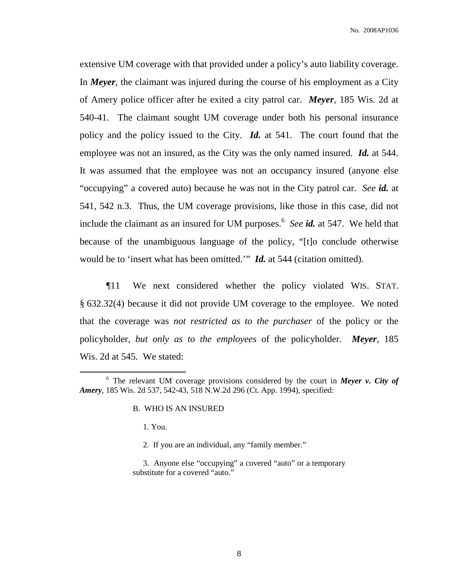extensive UM coverage with that provided under a policy's auto liability coverage. In *Meyer*, the claimant was injured during the course of his employment as a City of Amery police officer after he exited a city patrol car. *Meyer*, 185 Wis. 2d at 540-41. The claimant sought UM coverage under both his personal insurance policy and the policy issued to the City. *Id.* at 541. The court found that the employee was not an insured, as the City was the only named insured. *Id.* at 544. It was assumed that the employee was not an occupancy insured (anyone else "occupying" a covered auto) because he was not in the City patrol car. *See id.* at 541, 542 n.3. Thus, the UM coverage provisions, like those in this case, did not include the claimant as an insured for UM purposes. 6 *See id.* at 547. We held that because of the unambiguous language of the policy, "[t]o conclude otherwise would be to 'insert what has been omitted.'" *Id.* at 544 (citation omitted).

¶11 We next considered whether the policy violated WIS. STAT. § 632.32(4) because it did not provide UM coverage to the employee. We noted that the coverage was *not restricted as to the purchaser* of the policy or the policyholder, *but only as to the employees* of the policyholder. *Meyer*, 185 Wis. 2d at 545. We stated:

1. You.

2. If you are an individual, any "family member."

<sup>6</sup> The relevant UM coverage provisions considered by the court in *Meyer v. City of Amery*, 185 Wis. 2d 537, 542-43, 518 N.W.2d 296 (Ct. App. 1994), specified:

B. WHO IS AN INSURED

<sup>3.</sup> Anyone else "occupying" a covered "auto" or a temporary substitute for a covered "auto."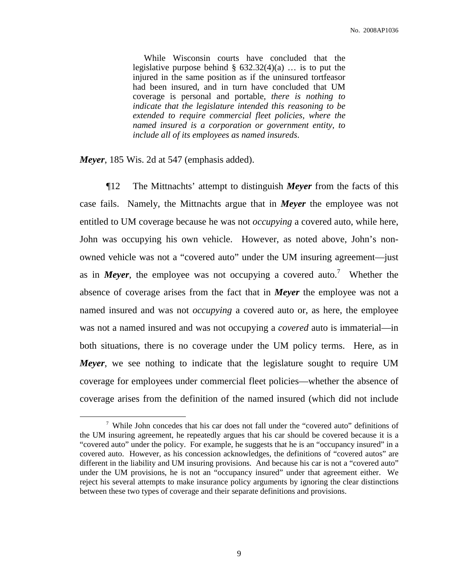While Wisconsin courts have concluded that the legislative purpose behind  $\S$  632.32(4)(a) ... is to put the injured in the same position as if the uninsured tortfeasor had been insured, and in turn have concluded that UM coverage is personal and portable, *there is nothing to indicate that the legislature intended this reasoning to be extended to require commercial fleet policies, where the named insured is a corporation or government entity, to include all of its employees as named insureds*.

*Meyer*, 185 Wis. 2d at 547 (emphasis added).

¶12 The Mittnachts' attempt to distinguish *Meyer* from the facts of this case fails. Namely, the Mittnachts argue that in *Meyer* the employee was not entitled to UM coverage because he was not *occupying* a covered auto, while here, John was occupying his own vehicle. However, as noted above, John's nonowned vehicle was not a "covered auto" under the UM insuring agreement—just as in *Meyer*, the employee was not occupying a covered auto.<sup>7</sup> Whether the absence of coverage arises from the fact that in *Meyer* the employee was not a named insured and was not *occupying* a covered auto or, as here, the employee was not a named insured and was not occupying a *covered* auto is immaterial—in both situations, there is no coverage under the UM policy terms. Here, as in *Meyer*, we see nothing to indicate that the legislature sought to require UM coverage for employees under commercial fleet policies—whether the absence of coverage arises from the definition of the named insured (which did not include

<sup>7</sup> While John concedes that his car does not fall under the "covered auto" definitions of the UM insuring agreement, he repeatedly argues that his car should be covered because it is a "covered auto" under the policy. For example, he suggests that he is an "occupancy insured" in a covered auto. However, as his concession acknowledges, the definitions of "covered autos" are different in the liability and UM insuring provisions. And because his car is not a "covered auto" under the UM provisions, he is not an "occupancy insured" under that agreement either. We reject his several attempts to make insurance policy arguments by ignoring the clear distinctions between these two types of coverage and their separate definitions and provisions.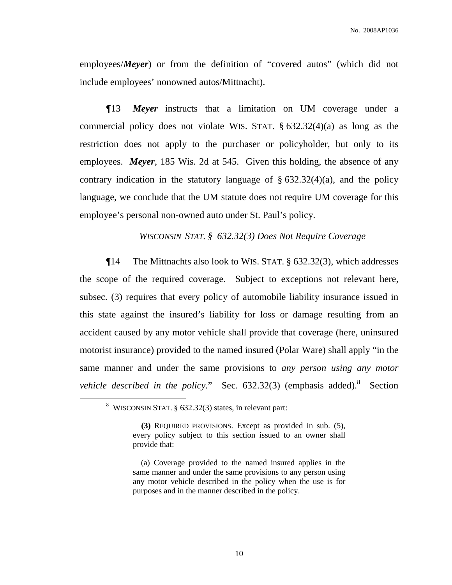employees/*Meyer*) or from the definition of "covered autos" (which did not include employees' nonowned autos/Mittnacht).

*¶*13 *Meyer* instructs that a limitation on UM coverage under a commercial policy does not violate WIS. STAT. § 632.32(4)(a) as long as the restriction does not apply to the purchaser or policyholder, but only to its employees. *Meyer*, 185 Wis. 2d at 545. Given this holding, the absence of any contrary indication in the statutory language of  $\S$  632.32(4)(a), and the policy language, we conclude that the UM statute does not require UM coverage for this employee's personal non-owned auto under St. Paul's policy.

*WISCONSIN STAT. § 632.32(3) Does Not Require Coverage*

¶14 The Mittnachts also look to WIS. STAT. § 632.32(3), which addresses the scope of the required coverage. Subject to exceptions not relevant here, subsec. (3) requires that every policy of automobile liability insurance issued in this state against the insured's liability for loss or damage resulting from an accident caused by any motor vehicle shall provide that coverage (here, uninsured motorist insurance) provided to the named insured (Polar Ware) shall apply "in the same manner and under the same provisions to *any person using any motor vehicle described in the policy.*" Sec. 632.32(3) (emphasis added). 8 Section

<sup>8</sup> WISCONSIN STAT. § 632.32(3) states, in relevant part:

**<sup>(3)</sup>** REQUIRED PROVISIONS. Except as provided in sub. (5), every policy subject to this section issued to an owner shall provide that:

<sup>(</sup>a) Coverage provided to the named insured applies in the same manner and under the same provisions to any person using any motor vehicle described in the policy when the use is for purposes and in the manner described in the policy.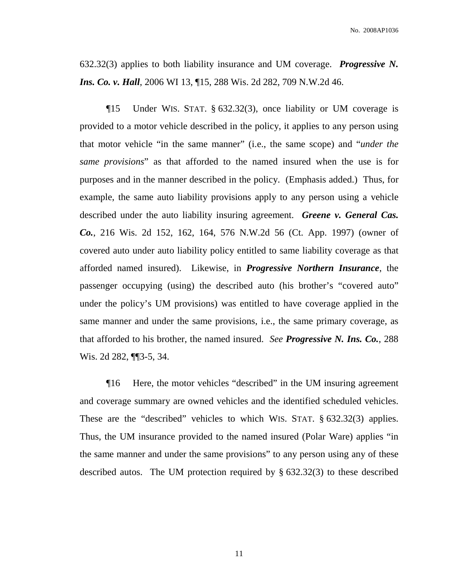No. 2008AP1036

632.32(3) applies to both liability insurance and UM coverage. *Progressive N. Ins. Co. v. Hall*, 2006 WI 13, ¶15, 288 Wis. 2d 282, 709 N.W.2d 46.

¶15 Under WIS. STAT. § 632.32(3), once liability or UM coverage is provided to a motor vehicle described in the policy, it applies to any person using that motor vehicle "in the same manner" (i.e., the same scope) and "*under the same provisions*" as that afforded to the named insured when the use is for purposes and in the manner described in the policy. (Emphasis added.) Thus, for example, the same auto liability provisions apply to any person using a vehicle described under the auto liability insuring agreement. *Greene v. General Cas. Co.*, 216 Wis. 2d 152, 162, 164, 576 N.W.2d 56 (Ct. App. 1997) (owner of covered auto under auto liability policy entitled to same liability coverage as that afforded named insured). Likewise, in *Progressive Northern Insurance*, the passenger occupying (using) the described auto (his brother's "covered auto" under the policy's UM provisions) was entitled to have coverage applied in the same manner and under the same provisions, i.e., the same primary coverage, as that afforded to his brother, the named insured. *See Progressive N. Ins. Co.*, 288 Wis. 2d 282, ¶¶3-5, 34.

¶16 Here, the motor vehicles "described" in the UM insuring agreement and coverage summary are owned vehicles and the identified scheduled vehicles. These are the "described" vehicles to which WIS. STAT. § 632.32(3) applies. Thus, the UM insurance provided to the named insured (Polar Ware) applies "in the same manner and under the same provisions" to any person using any of these described autos. The UM protection required by § 632.32(3) to these described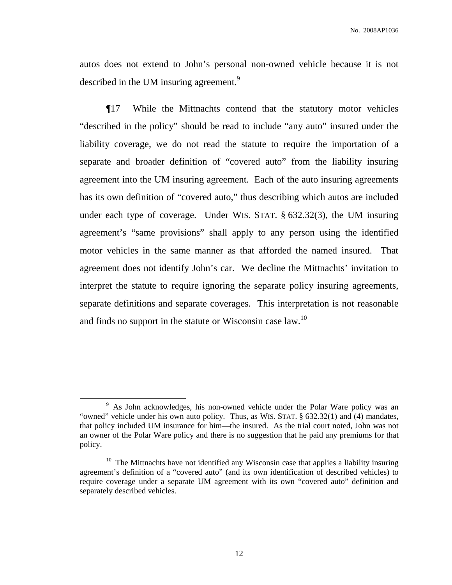autos does not extend to John's personal non-owned vehicle because it is not described in the UM insuring agreement.<sup>9</sup>

¶17 While the Mittnachts contend that the statutory motor vehicles "described in the policy" should be read to include "any auto" insured under the liability coverage, we do not read the statute to require the importation of a separate and broader definition of "covered auto" from the liability insuring agreement into the UM insuring agreement. Each of the auto insuring agreements has its own definition of "covered auto," thus describing which autos are included under each type of coverage. Under WIS. STAT. § 632.32(3), the UM insuring agreement's "same provisions" shall apply to any person using the identified motor vehicles in the same manner as that afforded the named insured. That agreement does not identify John's car. We decline the Mittnachts' invitation to interpret the statute to require ignoring the separate policy insuring agreements, separate definitions and separate coverages. This interpretation is not reasonable and finds no support in the statute or Wisconsin case  $law$ .<sup>10</sup>

<sup>&</sup>lt;sup>9</sup> As John acknowledges, his non-owned vehicle under the Polar Ware policy was an "owned" vehicle under his own auto policy. Thus, as WIS. STAT. § 632.32(1) and (4) mandates, that policy included UM insurance for him—the insured. As the trial court noted, John was not an owner of the Polar Ware policy and there is no suggestion that he paid any premiums for that policy.

 $10$  The Mittnachts have not identified any Wisconsin case that applies a liability insuring agreement's definition of a "covered auto" (and its own identification of described vehicles) to require coverage under a separate UM agreement with its own "covered auto" definition and separately described vehicles.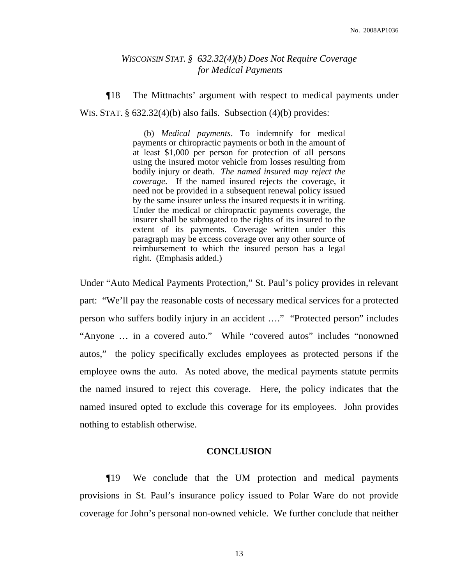## *WISCONSIN STAT. § 632.32(4)(b) Does Not Require Coverage for Medical Payments*

¶18 The Mittnachts' argument with respect to medical payments under WIS. STAT. § 632.32(4)(b) also fails. Subsection (4)(b) provides:

> (b) *Medical payments*. To indemnify for medical payments or chiropractic payments or both in the amount of at least \$1,000 per person for protection of all persons using the insured motor vehicle from losses resulting from bodily injury or death. *The named insured may reject the coverage*. If the named insured rejects the coverage, it need not be provided in a subsequent renewal policy issued by the same insurer unless the insured requests it in writing. Under the medical or chiropractic payments coverage, the insurer shall be subrogated to the rights of its insured to the extent of its payments. Coverage written under this paragraph may be excess coverage over any other source of reimbursement to which the insured person has a legal right. (Emphasis added.)

Under "Auto Medical Payments Protection," St. Paul's policy provides in relevant part: "We'll pay the reasonable costs of necessary medical services for a protected person who suffers bodily injury in an accident …." "Protected person" includes "Anyone … in a covered auto." While "covered autos" includes "nonowned autos," the policy specifically excludes employees as protected persons if the employee owns the auto. As noted above, the medical payments statute permits the named insured to reject this coverage. Here, the policy indicates that the named insured opted to exclude this coverage for its employees. John provides nothing to establish otherwise.

#### **CONCLUSION**

¶19 We conclude that the UM protection and medical payments provisions in St. Paul's insurance policy issued to Polar Ware do not provide coverage for John's personal non-owned vehicle. We further conclude that neither